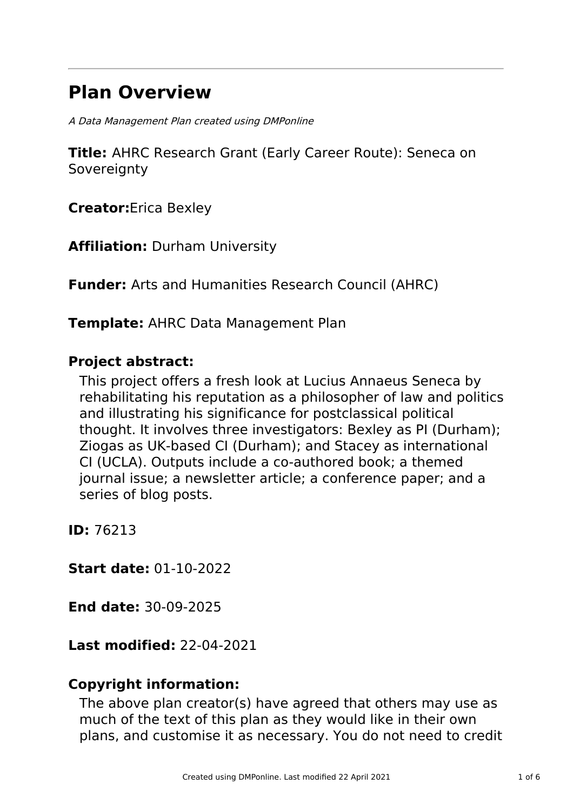# **Plan Overview**

A Data Management Plan created using DMPonline

**Title:** AHRC Research Grant (Early Career Route): Seneca on **Sovereignty** 

**Creator:**Erica Bexley

**Affiliation:** Durham University

**Funder:** Arts and Humanities Research Council (AHRC)

**Template:** AHRC Data Management Plan

# **Project abstract:**

This project offers a fresh look at Lucius Annaeus Seneca by rehabilitating his reputation as a philosopher of law and politics and illustrating his significance for postclassical political thought. It involves three investigators: Bexley as PI (Durham); Ziogas as UK-based CI (Durham); and Stacey as international CI (UCLA). Outputs include a co-authored book; a themed journal issue; a newsletter article; a conference paper; and a series of blog posts.

**ID:** 76213

**Start date:** 01-10-2022

**End date:** 30-09-2025

**Last modified:** 22-04-2021

# **Copyright information:**

The above plan creator(s) have agreed that others may use as much of the text of this plan as they would like in their own plans, and customise it as necessary. You do not need to credit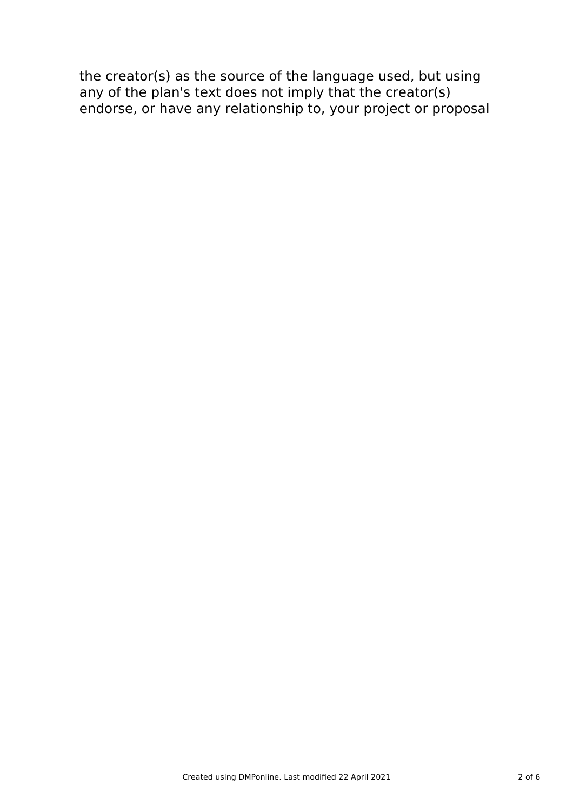the creator(s) as the source of the language used, but using any of the plan's text does not imply that the creator(s) endorse, or have any relationship to, your project or proposal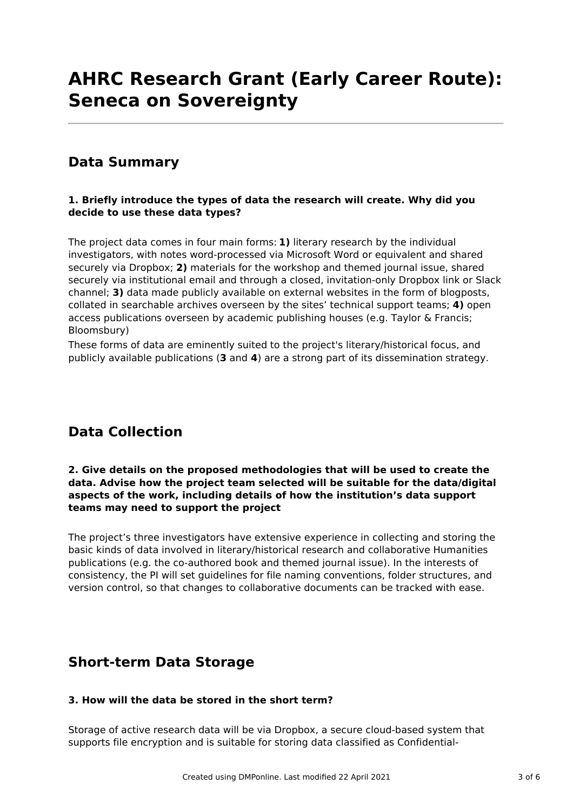# **AHRC Research Grant (Early Career Route): Seneca on Sovereignty**

# **Data Summary**

# **1. Briefly introduce the types of data the research will create. Why did you decide to use these data types?**

The project data comes in four main forms: **1)** literary research by the individual investigators, with notes word-processed via Microsoft Word or equivalent and shared securely via Dropbox; **2)** materials for the workshop and themed journal issue, shared securely via institutional email and through a closed, invitation-only Dropbox link or Slack channel; **3)** data made publicly available on external websites in the form of blogposts, collated in searchable archives overseen by the sites' technical support teams; **4)** open access publications overseen by academic publishing houses (e.g. Taylor & Francis; Bloomsbury)

These forms of data are eminently suited to the project's literary/historical focus, and publicly available publications (**3** and **4**) are a strong part of its dissemination strategy.

# **Data Collection**

### **2. Give details on the proposed methodologies that will be used to create the data. Advise how the project team selected will be suitable for the data/digital aspects of the work, including details of how the institution's data support teams may need to support the project**

The project's three investigators have extensive experience in collecting and storing the basic kinds of data involved in literary/historical research and collaborative Humanities publications (e.g. the co-authored book and themed journal issue). In the interests of consistency, the PI will set guidelines for file naming conventions, folder structures, and version control, so that changes to collaborative documents can be tracked with ease.

# **Short-term Data Storage**

## **3. How will the data be stored in the short term?**

Storage of active research data will be via Dropbox, a secure cloud-based system that supports file encryption and is suitable for storing data classified as Confidential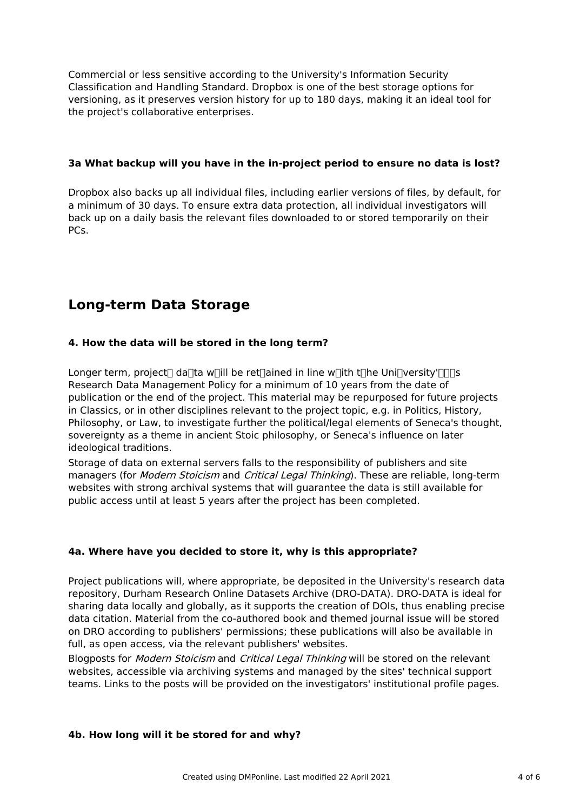Commercial or less sensitive according to the University's Information Security Classification and Handling Standard. Dropbox is one of the best storage options for versioning, as it preserves version history for up to 180 days, making it an ideal tool for the project's collaborative enterprises.

## **3a What backup will you have in the in-project period to ensure no data is lost?**

Dropbox also backs up all individual files, including earlier versions of files, by default, for a minimum of 30 days. To ensure extra data protection, all individual investigators will back up on a daily basis the relevant files downloaded to or stored temporarily on their PCs.

# **Long-term Data Storage**

## **4. How the data will be stored in the long term?**

Longer term, project danta whill be retermined in line whith the Unipversity'n and Research Data Management Policy for a minimum of 10 years from the date of publication or the end of the project. This material may be repurposed for future projects in Classics, or in other disciplines relevant to the project topic, e.g. in Politics, History, Philosophy, or Law, to investigate further the political/legal elements of Seneca's thought, sovereignty as a theme in ancient Stoic philosophy, or Seneca's influence on later ideological traditions.

Storage of data on external servers falls to the responsibility of publishers and site managers (for *Modern Stoicism* and *Critical Legal Thinking*). These are reliable, long-term websites with strong archival systems that will guarantee the data is still available for public access until at least 5 years after the project has been completed.

## **4a. Where have you decided to store it, why is this appropriate?**

Project publications will, where appropriate, be deposited in the University's research data repository, Durham Research Online Datasets Archive (DRO-DATA). DRO-DATA is ideal for sharing data locally and globally, as it supports the creation of DOIs, thus enabling precise data citation. Material from the co-authored book and themed journal issue will be stored on DRO according to publishers' permissions; these publications will also be available in full, as open access, via the relevant publishers' websites.

Blogposts for *Modern Stoicism* and *Critical Legal Thinking* will be stored on the relevant websites, accessible via archiving systems and managed by the sites' technical support teams. Links to the posts will be provided on the investigators' institutional profile pages.

#### **4b. How long will it be stored for and why?**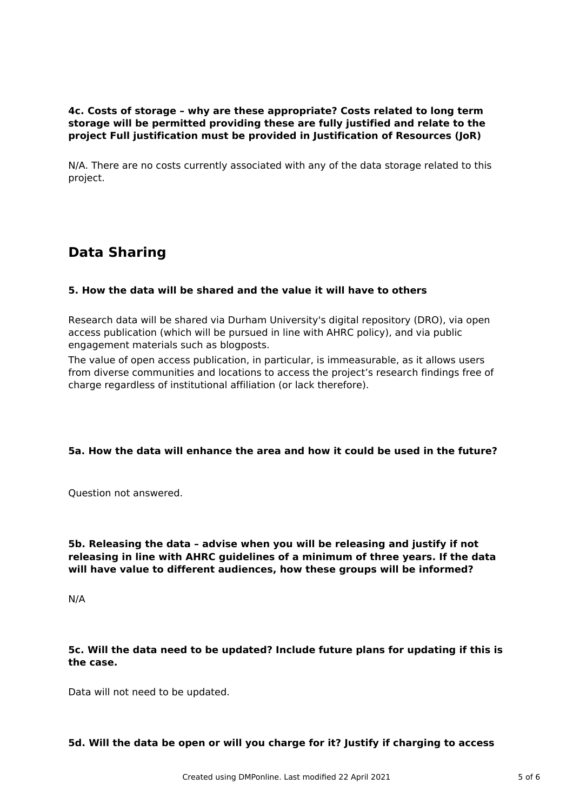# **4c. Costs of storage – why are these appropriate? Costs related to long term storage will be permitted providing these are fully justified and relate to the project Full justification must be provided in Justification of Resources (JoR)**

N/A. There are no costs currently associated with any of the data storage related to this project.

# **Data Sharing**

## **5. How the data will be shared and the value it will have to others**

Research data will be shared via Durham University's digital repository (DRO), via open access publication (which will be pursued in line with AHRC policy), and via public engagement materials such as blogposts.

The value of open access publication, in particular, is immeasurable, as it allows users from diverse communities and locations to access the project's research findings free of charge regardless of institutional affiliation (or lack therefore).

## **5a. How the data will enhance the area and how it could be used in the future?**

Question not answered.

**5b. Releasing the data – advise when you will be releasing and justify if not releasing in line with AHRC guidelines of a minimum of three years. If the data will have value to different audiences, how these groups will be informed?**

N/A

## **5c. Will the data need to be updated? Include future plans for updating if this is the case.**

Data will not need to be updated.

#### **5d. Will the data be open or will you charge for it? Justify if charging to access**